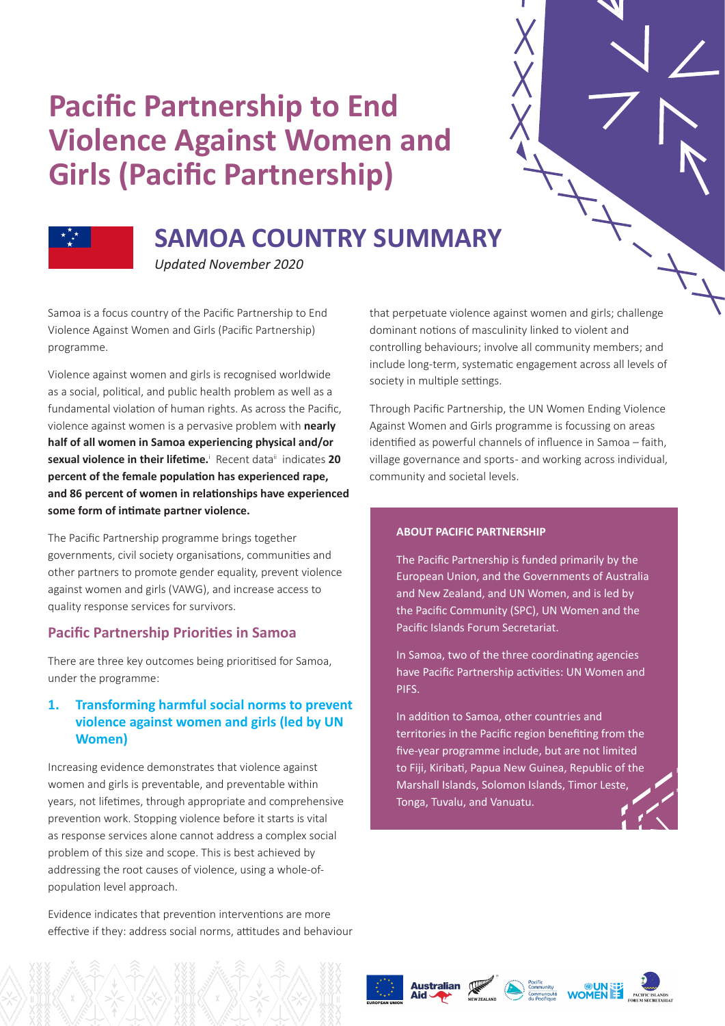# **Pacific Partnership to End Violence Against Women and Girls (Pacific Partnership)**



# **SAMOA COUNTRY SUMMARY**

*Updated November 2020*

Samoa is a focus country of the Pacific Partnership to End Violence Against Women and Girls (Pacific Partnership) programme.

Violence against women and girls is recognised worldwide as a social, political, and public health problem as well as a fundamental violation of human rights. As across the Pacific, violence against women is a pervasive problem with **nearly half of all women in Samoa experiencing physical and/or**  sexual violence in their lifetime.<sup>1</sup> Recent data<sup>ii</sup> indicates 20 **percent of the female population has experienced rape, and 86 percent of women in relationships have experienced some form of intimate partner violence.**

The Pacific Partnership programme brings together governments, civil society organisations, communities and other partners to promote gender equality, prevent violence against women and girls (VAWG), and increase access to quality response services for survivors.

# **Pacific Partnership Priorities in Samoa**

There are three key outcomes being prioritised for Samoa, under the programme:

# **1. Transforming harmful social norms to prevent violence against women and girls (led by UN Women)**

Increasing evidence demonstrates that violence against women and girls is preventable, and preventable within years, not lifetimes, through appropriate and comprehensive prevention work. Stopping violence before it starts is vital as response services alone cannot address a complex social problem of this size and scope. This is best achieved by addressing the root causes of violence, using a whole-ofpopulation level approach.

Evidence indicates that prevention interventions are more effective if they: address social norms, attitudes and behaviour that perpetuate violence against women and girls; challenge dominant notions of masculinity linked to violent and controlling behaviours; involve all community members; and include long-term, systematic engagement across all levels of society in multiple settings.

Through Pacific Partnership, the UN Women Ending Violence Against Women and Girls programme is focussing on areas identified as powerful channels of influence in Samoa – faith, village governance and sports - and working across individual, community and societal levels.

#### **ABOUT PACIFIC PARTNERSHIP**

The Pacific Partnership is funded primarily by the European Union, and the Governments of Australia and New Zealand, and UN Women, and is led by the Pacific Community (SPC), UN Women and the Pacific Islands Forum Secretariat.

In Samoa, two of the three coordinating agencies have Pacific Partnership activities: UN Women and PIFS.

In addition to Samoa, other countries and territories in the Pacific region benefiting from the five-year programme include, but are not limited to Fiji, Kiribati, Papua New Guinea, Republic of the Marshall Islands, Solomon Islands, Timor Leste, Tonga, Tuvalu, and Vanuatu.





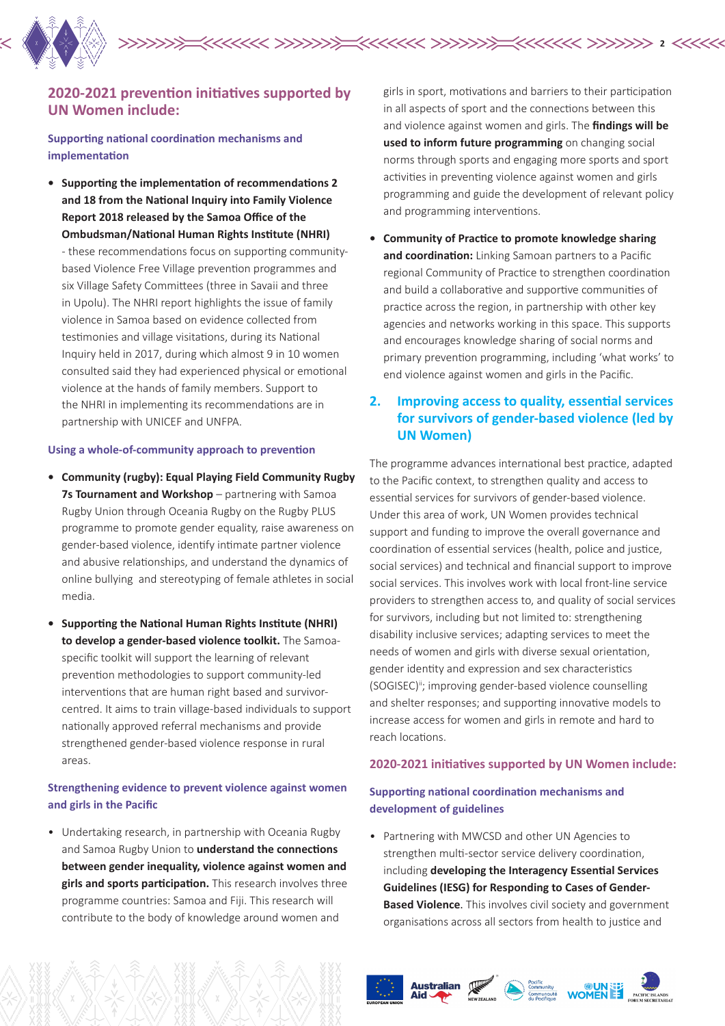

# **2020-2021 prevention initiatives supported by UN Women include:**

**Supporting national coordination mechanisms and implementation** 

**• Supporting the implementation of recommendations 2 and 18 from the National Inquiry into Family Violence Report 2018 released by the Samoa Office of the Ombudsman/National Human Rights Institute (NHRI)**  - these recommendations focus on supporting communitybased Violence Free Village prevention programmes and six Village Safety Committees (three in Savaii and three in Upolu). The NHRI report highlights the issue of family violence in Samoa based on evidence collected from testimonies and village visitations, during its National Inquiry held in 2017, during which almost 9 in 10 women consulted said they had experienced physical or emotional violence at the hands of family members. Support to the NHRI in implementing its recommendations are in partnership with UNICEF and UNFPA.

#### **Using a whole-of-community approach to prevention**

- **• Community (rugby): Equal Playing Field Community Rugby 7s Tournament and Workshop** – partnering with Samoa Rugby Union through Oceania Rugby on the Rugby PLUS programme to promote gender equality, raise awareness on gender-based violence, identify intimate partner violence and abusive relationships, and understand the dynamics of online bullying and stereotyping of female athletes in social media.
- **• Supporting the National Human Rights Institute (NHRI) to develop a gender-based violence toolkit.** The Samoaspecific toolkit will support the learning of relevant prevention methodologies to support community-led interventions that are human right based and survivorcentred. It aims to train village-based individuals to support nationally approved referral mechanisms and provide strengthened gender-based violence response in rural areas.

#### **Strengthening evidence to prevent violence against women and girls in the Pacific**

• Undertaking research, in partnership with Oceania Rugby and Samoa Rugby Union to **understand the connections between gender inequality, violence against women and girls and sports participation.** This research involves three programme countries: Samoa and Fiji. This research will contribute to the body of knowledge around women and

girls in sport, motivations and barriers to their participation in all aspects of sport and the connections between this and violence against women and girls. The **findings will be used to inform future programming** on changing social norms through sports and engaging more sports and sport activities in preventing violence against women and girls programming and guide the development of relevant policy and programming interventions.

**2**

**• Community of Practice to promote knowledge sharing and coordination:** Linking Samoan partners to a Pacific regional Community of Practice to strengthen coordination and build a collaborative and supportive communities of practice across the region, in partnership with other key agencies and networks working in this space. This supports and encourages knowledge sharing of social norms and primary prevention programming, including 'what works' to end violence against women and girls in the Pacific.

# **2. Improving access to quality, essential services for survivors of gender-based violence (led by UN Women)**

The programme advances international best practice, adapted to the Pacific context, to strengthen quality and access to essential services for survivors of gender-based violence. Under this area of work, UN Women provides technical support and funding to improve the overall governance and coordination of essential services (health, police and justice, social services) and technical and financial support to improve social services. This involves work with local front-line service providers to strengthen access to, and quality of social services for survivors, including but not limited to: strengthening disability inclusive services; adapting services to meet the needs of women and girls with diverse sexual orientation, gender identity and expression and sex characteristics (SOGISEC)<sup>ii</sup>; improving gender-based violence counselling and shelter responses; and supporting innovative models to increase access for women and girls in remote and hard to reach locations.

#### **2020-2021 initiatives supported by UN Women include:**

### **Supporting national coordination mechanisms and development of guidelines**

• Partnering with MWCSD and other UN Agencies to strengthen multi-sector service delivery coordination, including **developing the Interagency Essential Services Guidelines (IESG) for Responding to Cases of Gender-Based Violence**. This involves civil society and government organisations across all sectors from health to justice and